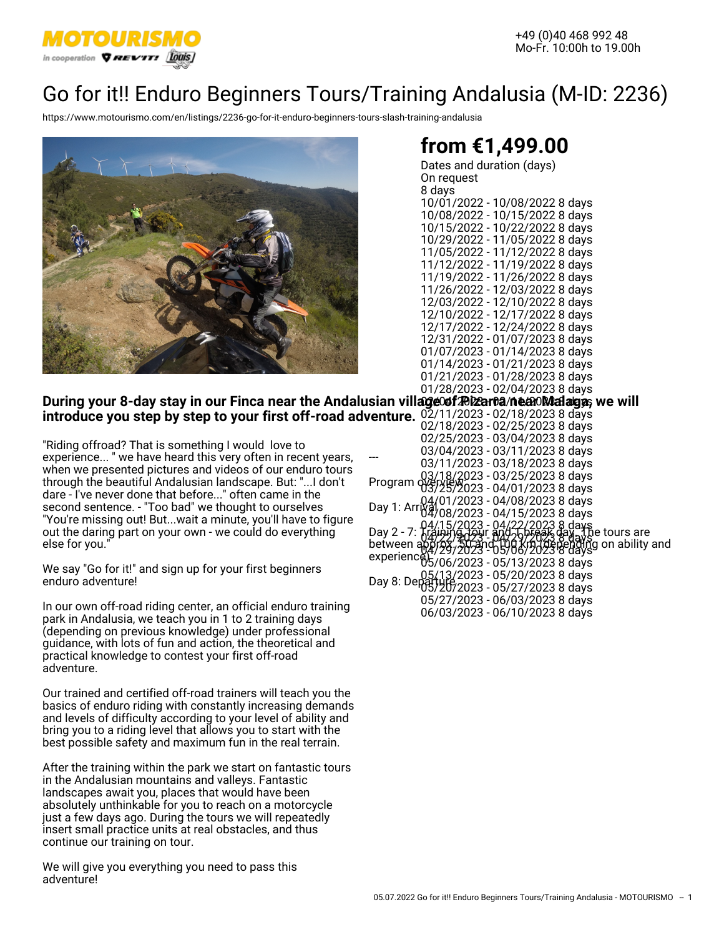

+49 (0)40 468 992 48 Mo-Fr. 10:00h to 19.00h

# Go for it!! Enduro Beginners Tours/Training Andalusia (M-ID: 2236)

<https://www.motourismo.com/en/listings/2236-go-for-it-enduro-beginners-tours-slash-training-andalusia>



## **from €1,499.00**

Dates and duration (days) On request 8 days 10/01/2022 - 10/08/2022 8 days 10/08/2022 - 10/15/2022 8 days 10/15/2022 - 10/22/2022 8 days 10/29/2022 - 11/05/2022 8 days 11/05/2022 - 11/12/2022 8 days 11/12/2022 - 11/19/2022 8 days 11/19/2022 - 11/26/2022 8 days 11/26/2022 - 12/03/2022 8 days 12/03/2022 - 12/10/2022 8 days 12/10/2022 - 12/17/2022 8 days 12/17/2022 - 12/24/2022 8 days 12/31/2022 - 01/07/2023 8 days 01/07/2023 - 01/14/2023 8 days 01/14/2023 - 01/21/2023 8 days 01/21/2023 - 01/28/2023 8 days 01/28/2023 - 02/04/2023 8 days

#### During your 8-day stay in our Finca near the Andalusian village0ef2Pizar0a/nea0Malaga, we will 02/11/2023 - 02/18/2023 8 days introduce you step by step to your first off-road adv

"Riding offroad? That is something I would love to experience... " we have heard this very often in recent years, when we presented pictures and videos of our enduro tours through the beautiful Andalusian landscape. But: "...I don't dare - I've never done that before..." often came in the second sentence. - "Too bad" we thought to ourselves "You're missing out! But...wait a minute, you'll have to figure out the daring part on your own - we could do everything else for you."

We say "Go for it!" and sign up for your first beginners enduro adventure!

In our own off-road riding center, an official enduro training park in Andalusia, we teach you in 1 to 2 training days (depending on previous knowledge) under professional guidance, with lots of fun and action, the theoretical and practical knowledge to contest your first off-road adventure.

Our trained and certified off-road trainers will teach you the basics of enduro riding with constantly increasing demands and levels of difficulty according to your level of ability and bring you to a riding level that allows you to start with the best possible safety and maximum fun in the real terrain.

After the training within the park we start on fantastic tours in the Andalusian mountains and valleys. Fantastic landscapes await you, places that would have been absolutely unthinkable for you to reach on a motorcycle just a few days ago. During the tours we will repeatedly insert small practice units at real obstacles, and thus continue our training on tour.

We will give you everything you need to pass this adventure!

| JSIGII VIIIGUE∪ƏJ4⊽AZGIVQ/IIE⁄GA∪AARGIGAQAS WE WIII                                                                                                                                |  |
|------------------------------------------------------------------------------------------------------------------------------------------------------------------------------------|--|
| venture. 02/11/2023 - 02/18/2023 8 days                                                                                                                                            |  |
| 02/18/2023 - 02/25/2023 8 days                                                                                                                                                     |  |
| 02/25/2023 - 03/04/2023 8 days                                                                                                                                                     |  |
| 03/04/2023 - 03/11/2023 8 days                                                                                                                                                     |  |
| 03/11/2023 - 03/18/2023 8 days                                                                                                                                                     |  |
|                                                                                                                                                                                    |  |
| 03/18/2023 - 03/25/2023 8 days<br>Program 03/25/2023 - 04/01/2023 8 days                                                                                                           |  |
|                                                                                                                                                                                    |  |
| Day 1: Arr 04/01/2023 - 04/08/2023 8 days<br>Day 1: Arr 04/08/2023 - 04/15/2023 8 days                                                                                             |  |
|                                                                                                                                                                                    |  |
|                                                                                                                                                                                    |  |
|                                                                                                                                                                                    |  |
| Day 2 - 7: 04/15/2023 - 04/22/2023 8 days<br>between apple 23/2021 and 29/20/2023 8 days<br>between apple 23/2023 - 05/06/2023 8 days<br>experience 65/06/2023 - 05/13/2023 8 days |  |
|                                                                                                                                                                                    |  |
| Day 8: Depths 2023 - 05/20/2023 8 days<br>Day 8: Depths 2023 - 05/27/2023 8 days                                                                                                   |  |
| 05/27/2023 - 06/03/2023 8 days                                                                                                                                                     |  |
| 06/03/2023 - 06/10/2023 8 days                                                                                                                                                     |  |
|                                                                                                                                                                                    |  |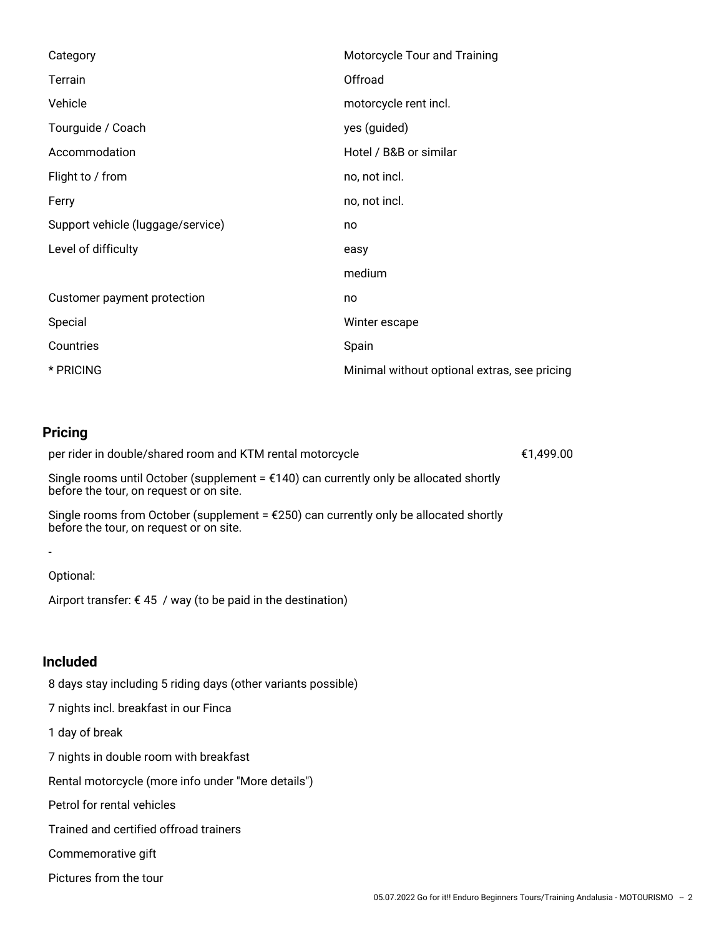| Category                          | Motorcycle Tour and Training                 |
|-----------------------------------|----------------------------------------------|
| Terrain                           | Offroad                                      |
| Vehicle                           | motorcycle rent incl.                        |
| Tourguide / Coach                 | yes (guided)                                 |
| Accommodation                     | Hotel / B&B or similar                       |
| Flight to / from                  | no, not incl.                                |
| Ferry                             | no, not incl.                                |
| Support vehicle (luggage/service) | no                                           |
| Level of difficulty               | easy                                         |
|                                   | medium                                       |
| Customer payment protection       | no                                           |
| Special                           | Winter escape                                |
| Countries                         | Spain                                        |
| * PRICING                         | Minimal without optional extras, see pricing |

### **Pricing**

|                 | per rider in double/shared room and KTM rental motorcycle                                                                                  | €1,499.00 |  |
|-----------------|--------------------------------------------------------------------------------------------------------------------------------------------|-----------|--|
|                 | Single rooms until October (supplement = $£140$ ) can currently only be allocated shortly<br>before the tour, on request or on site.       |           |  |
|                 | Single rooms from October (supplement = $\epsilon$ 250) can currently only be allocated shortly<br>before the tour, on request or on site. |           |  |
|                 |                                                                                                                                            |           |  |
|                 | Optional:                                                                                                                                  |           |  |
|                 | Airport transfer: $\epsilon$ 45 / way (to be paid in the destination)                                                                      |           |  |
|                 |                                                                                                                                            |           |  |
| <b>Included</b> |                                                                                                                                            |           |  |
|                 | 8 days stay including 5 riding days (other variants possible)                                                                              |           |  |
|                 | 7 nights incl. breakfast in our Finca                                                                                                      |           |  |
|                 | 1 day of break                                                                                                                             |           |  |
|                 |                                                                                                                                            |           |  |

7 nights in double room with breakfast

Rental motorcycle (more info under "More details")

Petrol for rental vehicles

Trained and certified offroad trainers

Commemorative gift

Pictures from the tour